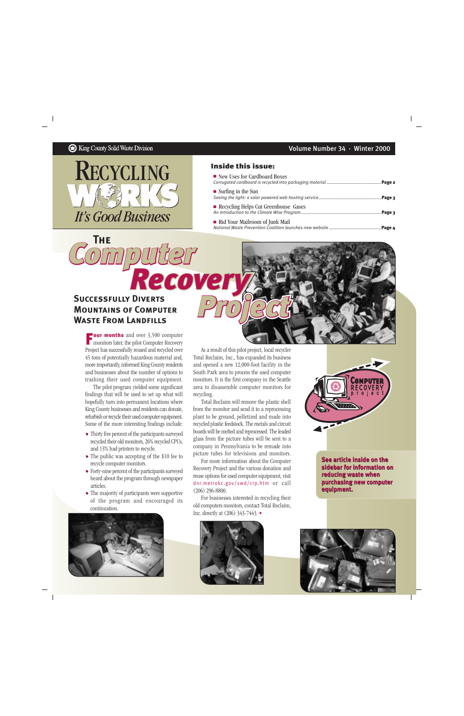**The**



## Inside this issue:

| New Uses for Cardboard Boxes         |  |
|--------------------------------------|--|
| $\blacksquare$ Surfing in the Sun    |  |
| Recycling Helps Cut Greenhouse Gases |  |
| Rid Your Mailroom of Junk Mail       |  |

## **Successfully DivertsMountains of ComputerWaste From Landfills**

*Computer*

*Project Recovery*

**Four months** and over 3,500 computer **Four months** and over 3,500 computer<br>
monitors later, the pilot Computer Recovery Project has successfully reused and recycled over 45 tons of potentially hazardous material and, more importantly, informed King County residents and businesses about the number of options to trashing their used computer equipment.

The pilot program yielded some significant findings that will be used to set up what will hopefully turn into permanent locations where King County businesses and residents can donate, refurbish or recycle their used computer equipment. Some of the more interesting findings include:

- • Thirty five percent of the participants surveyed recycled their old monitors, 26% recycled CPUs, and 13% had printers to recycle.
- • The public was accepting of the \$10 fee to recycle computer monitors.
- • Forty-nine percent of the participants surveyed heard about the program through newspaper articles.
- • The majority of participants were supportive of the program and encouraged its continuation.



As a result of this pilot project, local recycler Total Reclaim, Inc., has expanded its business and opened a new 12,000-foot facility in the South Park area to process the used computer monitors. It is the first company in the Seattle area to disassemble computer monitors for recycling.

Total Reclaim will remove the plastic shell from the monitor and send it to a reprocessing plant to be ground, pelletized and made into recycled plastic feedstock. The metals and circuit boards will be melted and reprocessed. The leaded glass from the picture tubes will be sent to a company in Pennsylvania to be remade into picture tubes for televisions and monitors.

For more information about the Computer Recovery Project and the various donation and reuse options for used computer equipment, visit dnr.metrokc.gov/swd/crp.htm or call (206) 296-8800.

For businesses interested in recycling their old computers monitors, contact Total Reclaim, Inc. directly at (206) 343-7443. •





**See article inside on the sidebar for information on reducing waste when** purchasing new computer<br>equipment. **equipment.**

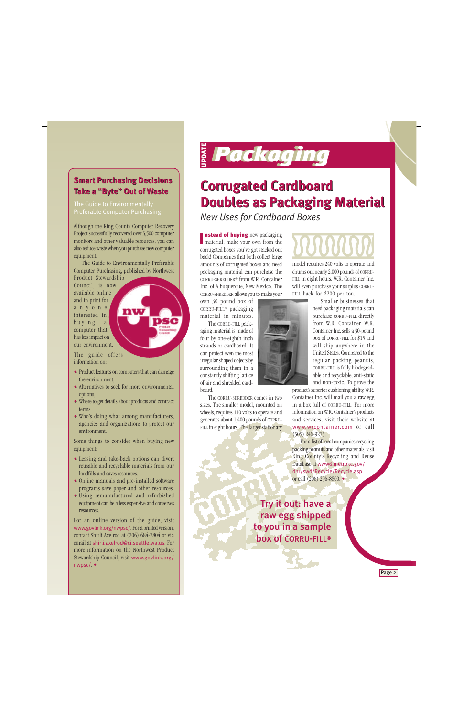## **Smart Purchasing Decisions Smart Purchasing Decisions Take a "Byte" Out of Waste Take a "Byte" Out of Waste**

The Guide to Environmentally Preferable Computer Purchasing

Although the King County Computer Recovery Project successfully recovered over 3,500 computer monitors and other valuable resources, you can also reduce waste when you purchase new computer equipment.

The Guide to Environmentally Preferable Computer Purchasing, published by Northwest Product Stewardship

nw

Council, is now available online and in print for anyone interested in buying a computer that has less impact on our environment.

The guide offers information on:

- • Product features on computers that can damage the environment,
- • Alternatives to seek for more environmental options,
- • Where to get details about products and contract terms,
- • Who's doing what among manufacturers, agencies and organizations to protect our environment.

Some things to consider when buying new equipment:

- • Leasing and take-back options can divert reusable and recyclable materials from our landfills and saves resources.
- • Online manuals and pre-installed software programs save paper and other resources.
- • Using remanufactured and refurbished equipment can be a less expensive and conserves resources.

For an online version of the guide, visit www.govlink.org/nwpsc/. For a printed version, contact Shirli Axelrod at (206) 684-7804 or via email at shirli.axelrod@ci.seattle.wa.us. For more information on the Northwest Product Stewardship Council, visit www.govlink.org/ nwpsc/. •

# UPDATE *Packaging Packaging*

## **Corrugated Cardboard Corrugated Cardboard Doubles as Packaging Material Doubles as Packaging Material**

*New Uses for Cardboard Boxes*

nstead of buying new packaging **nstead of buying** new packaging<br>material, make your own from the corrugated boxes you've got stacked out back! Companies that both collect large amounts of corrugated boxes and need packaging material can purchase the CORRU-SHREDDER® from W.R. Container Inc. of Albuquerque, New Mexico. The CORRU-SHREDDER allows you to make your

own 30 pound box of CORRU-FILL® packaging material in minutes.

The CORRU-FILL packaging material is made of four by one-eighth inch strands or cardboard. It can protect even the most irregular shaped objects by surrounding them in a constantly shifting lattice of air and shredded cardboard.

The CORRU-SHREDDER comes in two sizes. The smaller model, mounted on wheels, requires 110 volts to operate and generates about 1,400 pounds of CORRU-FILL in eight hours. The larger stationary

model requires 240 volts to operate and churns out nearly 2,000 pounds of CORRU-FILL in eight hours. W.R. Container Inc. will even purchase your surplus CORRU-FILL back for \$200 per ton.

Smaller businesses that need packaging materials can purchase CORRU-FILL directly from W.R. Container. W.R. Container Inc. sells a 30-pound box of CORRU-FILL for \$15 and will ship anywhere in the United States. Compared to the regular packing peanuts, CORRU-FILL is fully biodegradable and recyclable, anti-static and non-toxic. To prove the

product's superior cushioning ability, W.R. Container Inc. will mail you a raw egg in a box full of CORRU-FILL. For more information on W.R. Container's products and services, visit their website at www.wrcontainer.com or call (505) 246-9275.

For a list of local companies recycling packing peanuts and other materials, visit King County's Recycling and Reuse Database at www6.metrokc.gov/ dnr/swd/Recycle/Recycle.asp or call (206) 296-8800. •

Try it out: have a raw egg shipped to you in a sample box of CORRU-FILL®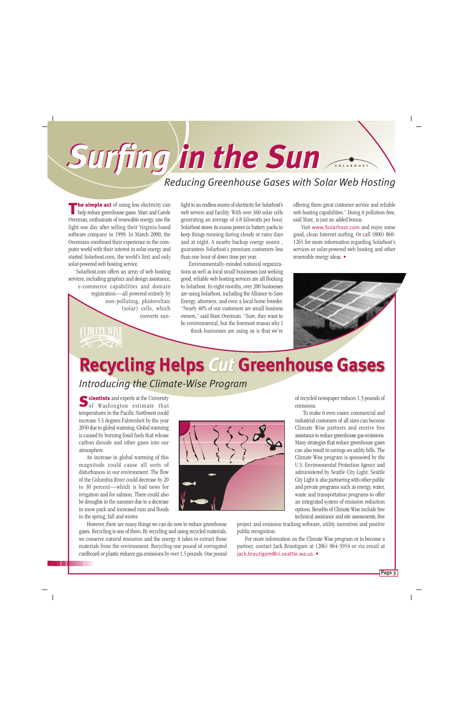# *Surfing in the Sun Surfing in the Sun Reducing Greenhouse Gases with Solar Web Hosting*

**he simple act** of using less electricity can help reduce greenhouse gases. Marc and Carole Overman, enthusiasts of renewable energy, saw the light one day after selling their Virginia-based software company in 1999. In March 2000, the Overmans combined their experience in the computer world with their interest in solar energy and started Solarhost.com, the world's first and only solar-powered web hosting service. T

Solarhost.com offers an array of web hosting services, including graphics and design assistance, e-commerce capabilities and domain registration—all powered entirely by non-polluting, photovoltaic (solar) cells, which

light to an endless source of electricity for Solarhost's web servers and facility. With over 360 solar cells generating an average of 4.8 kilowatts per hour, Solarhost stores its excess power in battery packs to keep things running during cloudy or rainy days and at night. A nearby backup energy source , guarantees Solarhost's premium customers less than one hour of down time per year.

Environmentally-minded national organizations as well as local small businesses just seeking good, reliable web hosting services are all flocking to Solarhost. In eight months, over 200 businesses are using Solarhost, including the Alliance to Save Energy, attorneys, and even a local horse breeder. "Nearly 40% of our customers are small business owners," said Marc Overman. "Sure, they want to be environmental, but the foremost reason why I

think businesses are using us is that we're

offering them great customer service and reliable web hosting capabilities." Doing it pollution-free, said Marc, is just an added bonus.

Visit www.Solarhost.com and enjoy some good, clean Internet surfing. Or call (800) 860- 1265 for more information regarding Solarhost's services or solar-powered web hosting and other renewable energy ideas. •



## **Recycling Helps Cut Greenhouse Gases**

*Introducing the Climate-Wise Program*

converts sun-

cientists and experts at the University Scientists and experts at the University<br>of Washington estimate that temperatures in the Pacific Northwest could increase 5.3 degrees Fahrenheit by the year 2050 due to global warming. Global warming is caused by burning fossil fuels that release carbon dioxide and other gases into our atmosphere.

An increase in global warming of this magnitude could cause all sorts of disturbances in our environment. The flow of the Columbia River could decrease by 20 to 30 percent—which is bad news for irrigation and for salmon. There could also be droughts in the summer due to a decrease in snow pack and increased rain and floods in the spring, fall and winter.



However, there are many things we can do now to reduce greenhouse gases. Recycling is one of them. By recycling and using recycled materials, we conserve natural resources and the energy it takes to extract those materials from the environment. Recycling one pound of corrugated cardboard or plastic reduces gas emissions by over 1.5 pounds. One pound of recycled newspaper reduces 1.3 pounds of emissions.

To make it even easier, commercial and industrial customers of all sizes can become Climate Wise partners and receive free assistance to reduce greenhouse gas emissions. Many strategies that reduce greenhouse gases can also result in savings on utility bills. The Climate Wise program is sponsored by the U.S. Environmental Protection Agency and administered by Seattle City Light. Seattle City Light is also partnering with other public and private programs such as energy, water, waste and transportation programs to offer an integrated system of emission reduction options. Benefits of Climate Wise include free technical assistance and site assessments, free

project and emission tracking software, utility incentives and positive public recognition.

For more information on the Climate Wise program or to become a partner, contact Jack Brautigam at (206) 864-3954 or via email at jack.brautigam@ci.seattle.wa.us. •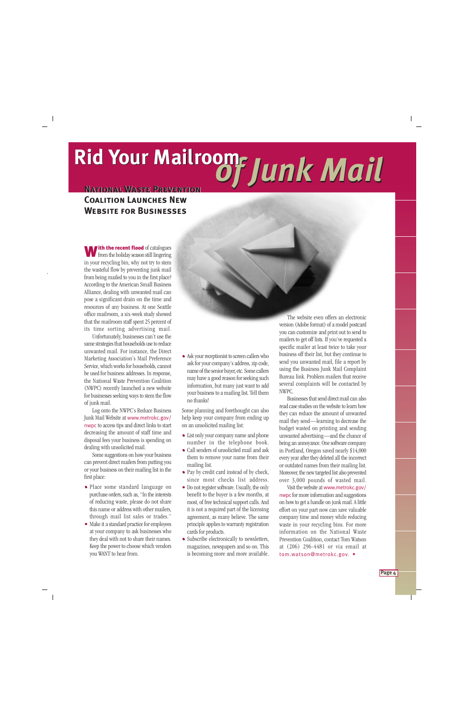# **Rid Your Mailroom<br>
MATIONAL WASTE PREVENTION<br>
WEBSITE FOR BUSINESSES**

## **NATIONAL WASTE PREVENTION Coalition Launches NewWebsite for Businesses**

**W** from the holiday season still lingering from the holiday season still lingering in your recycling bin, why not try to stem the wasteful flow by preventing junk mail from being mailed to you in the first place? According to the American Small Business Alliance, dealing with unwanted mail can pose a significant drain on the time and resources of any business. At one Seattle office mailroom, a six-week study showed that the mailroom staff spent 25 percent of its time sorting advertising mail.

Unfortunately, businesses can't use the same strategies that households use to reduce unwanted mail. For instance, the Direct Marketing Association's Mail Preference Service, which works for households, cannot be used for business addresses. In response, the National Waste Prevention Coalition (NWPC) recently launched a new website for businesses seeking ways to stem the flow of junk mail.

Log onto the NWPC's Reduce Business Junk Mail Website at www.metrokc.gov/ nwpc to access tips and direct links to start decreasing the amount of staff time and disposal fees your business is spending on dealing with unsolicited mail.

Some suggestions on how your business can prevent direct mailers from putting you or your business on their mailing list in the first place:

- • Place some standard language on purchase orders, such as, "In the interests of reducing waste, please do not share this name or address with other mailers, through mail list sales or trades."
- • Make it a standard practice for employees at your company to ask businesses who they deal with not to share their names. Keep the power to choose which vendors you WANT to hear from.

• • Ask your receptionist to screen callers who ask for your company's address, zip code, name of the senior buyer, etc. Some callers may have a good reason for seeking such information, but many just want to add your business to a mailing list. Tell them no thanks!

Some planning and forethought can also help keep your company from ending up on an unsolicited mailing list:

- • List only your company name and phone number in the telephone book.
- • Call senders of unsolicited mail and ask them to remove your name from their mailing list.
- • Pay by credit card instead of by check, since most checks list address.
- • Do not register software. Usually, the only benefit to the buyer is a few months, at most, of free technical support calls. And it is not a required part of the licensing agreement, as many believe. The same principle applies to warranty registration cards for products.
- • Subscribe electronically to newsletters, magazines, newspapers and so on. This is becoming more and more available.

The website even offers an electronic version (Adobe format) of a model postcard you can customize and print out to send to mailers to get off lists. If you've requested a specific mailer at least twice to take your business off their list, but they continue to send you unwanted mail, file a report by using the Business Junk Mail Complaint Bureau link. Problem mailers that receive several complaints will be contacted by NWPC.

Businesses that send direct mail can also read case studies on the website to learn how they can reduce the amount of unwanted mail they send—learning to decrease the budget wasted on printing and sending unwanted advertising—and the chance of being an annoyance. One software company in Portland, Oregon saved nearly \$14,000 every year after they deleted all the incorrect or outdated names from their mailing list. Moreover, the new targeted list also prevented over 3,000 pounds of wasted mail.

Visit the website at www.metrokc.gov/ nwpc for more information and suggestions on how to get a handle on junk mail. A little effort on your part now can save valuable company time and money while reducing waste in your recycling bins. For more information on the National Waste Prevention Coalition, contact Tom Watson at (206) 296-4481 or via email at tom.watson@metrokc.gov. •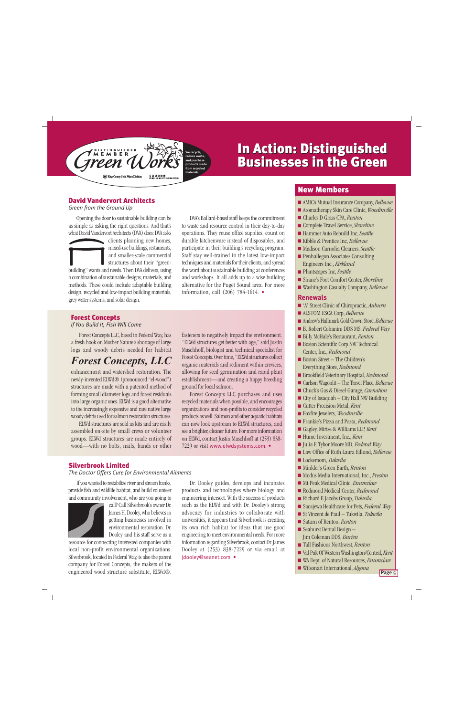

## In Action: Distinguished In Action: Distinguished Businesses in the Green Businesses in the Green

## David Vandervort Architects

*Green from the Ground Up*

Opening the door to sustainable building can be as simple as asking the right questions. And that's what David Vandervort Architects (DVA) does: DVA asks

clients planning new homes, mixed-use buildings, restaurants, and smaller-scale commercial structures about their "greenbuilding" wants and needs. Then DVA delivers, using a combination of sustainable designs, materials, and methods. These could include adaptable building design, recycled and low-impact building materials, grey water systems, and solar design.

DVA's Ballard-based staff keeps the commitment to waste and resource control in their day-to-day operations. They reuse office supplies, count on durable kitchenware instead of disposables, and participate in their building's recycling program. Staff stay well-trained in the latest low-impact techniques and materials for their clients, and spread the word about sustainable building at conferences and workshops. It all adds up to a wise building alternative for the Puget Sound area. For more information, call (206) 784-1614. • .

## Forest Concepts

*If You Build It, Fish Will Come*

Forest Concepts LLC, based in Federal Way, has a fresh hook on Mother Nature's shortage of large logs and woody debris needed for habitat

## *Forest Concepts, LLC*

enhancement and watershed restoration. The newly-invented ELWd® (pronounced "el-wood") structures are made with a patented method of forming small diameter logs and forest residuals into large organic ones. ELWd is a good alternative to the increasingly expensive and rare native large woody debris used for salmon restoration structures.

ELWd structures are sold as kits and are easily assembled on-site by small crews or volunteer groups. ELWd structures are made entirely of wood—with no bolts, nails, bands or other fasteners to negatively impact the environment. "ELWd structures get better with age," said Justin Maschhoff, biologist and technical specialist for Forest Concepts. Over time, "ELWd structures collect organic materials and sediment within crevices, allowing for seed germination and rapid plant establishment—and creating a happy breeding ground for local salmon.

Forest Concepts LLC purchases and uses recycled materials when possible, and encourages organizations and non-profits to consider recycled products as well. Salmon and other aquatic habitats can now look upstream to ELWd structures, and see a brighter, cleaner future. For more information on ELWd, contact Justin Maschhoff at (253) 838- 7229 or visit www.elwdsystems.com. •

## Silverbrook Limited

*The Doctor Offers Cure for Environmental Ailments*

If you wanted to restabilize river and stream banks, provide fish and wildlife habitat, and build volunteer and community involvement, who are you going to



call? Call Silverbrook's owner Dr. James H. Dooley, who believes in getting businesses involved in environmental restoration. Dr. Dooley and his staff serve as a

resource for connecting interested companies with local non-profit environmental organizations. Silverbrook, located in Federal Way, is also the parent company for Forest Concepts, the makers of the engineered wood structure substitute, ELWd®.

Dr. Dooley guides, develops and incubates products and technologies where biology and engineering intersect. With the success of products such as the ELWd and with Dr. Dooley's strong advocacy for industries to collaborate with universities, it appears that Silverbrook is creating its own rich habitat for ideas that use good engineering to meet environmental needs. For more information regarding Silverbrook, contact Dr. James Dooley at (253) 838-7229 or via email at jdooley@seanet.com. •

## New Members

- AMICA Mutual Insurance Company, *Bellevue*
- Aromatherapy Skin Care Clinic, *Woodinville*
- Charles D Grass CPA, *Renton*
- Complete Travel Service, *Shoreline*
- Hammer Auto Rebuild Inc, *Seattle*
- Kibble & Prentice Inc, *Bellevue*
- Madison Carnolia Cleaners, *Seattle*
- Penhallegon Associates Consulting Engineers Inc., *Kirkland*
- Plantscapes Inc, *Seattle*
- Shane's Foot Comfort Center, *Shoreline*
- Washington Casualty Company, *Bellevue*

### **Renewals**

- 'A' Street Clinic of Chiropractic, *Auburn*
- ALSTOM ESCA Corp, *Bellevue*
- Andrew's Hallmark Gold Crown Store, *Bellevue*
- B. Robert Cohanim DDS MS, *Federal Way*
- Billy McHale's Restaurant, *Renton*
- Boston Scientific Corp NW Technical Center, Inc., *Redmond*
- Boston Street The Children's Everything Store, *Redmond*
- Brookfield Veterinary Hospital, *Redmond*
- Carlson Wagonlit The Travel Place, *Bellevue*
- Chuck's Gas & Diesel Garage, *Carnation*
- $\blacksquare$  City of Issaquah City Hall NW Building
- Cutter Precision Metal, *Kent*
- Foxfire Jewelers, *Woodinville*
- Frankie's Pizza and Pasta, *Redmond*
- Gagley, Mirise & Williams LLP, *Kent*
- Hume Investment, Inc., *Kent*
- Julia F. Tybor Moore MD, *Federal Way*
- Law Office of Ruth Laura Edlund, *Bellevue*
- Lockeroom, *Tukwila*
- Minkler's Green Earth, *Renton*
- Modus Media International, Inc., *Preston*
- Mt Peak Medical Clinic, *Enumclaw*
- Redmond Medical Center, *Redmond*
- Richard E Jacobs Group, *Tukwila*
- Sacajewa Healthcare for Pets, *Federal Way*
- St Vincent de Paul Tukwila, *Tukwila*
- Saturn of Renton, *Renton*
- Seahurst Dental Design Jim Coleman DDS, *Burien*
- Tall Fashions Northwest, *Renton*
- Val Pak Of Western Washington/Central, *Kent*
- WA Dept. of Natural Resources, *Enumclaw*
- Wilsonart International, *Algona*